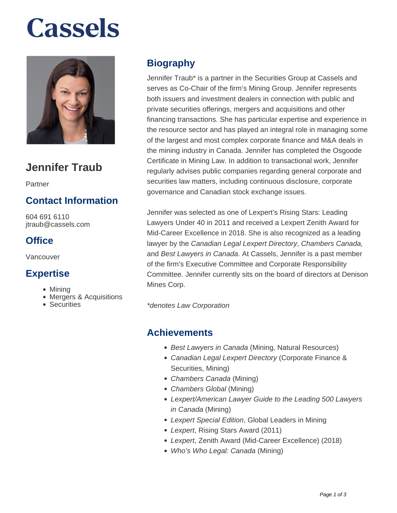# **Cassels**



# **Jennifer Traub**

Partner

## **Contact Information**

604 691 6110 jtraub@cassels.com

### **Office**

Vancouver

#### **Expertise**

- Mining
- Mergers & Acquisitions
- Securities

## **Biography**

Jennifer Traub\* is a partner in the Securities Group at Cassels and serves as Co-Chair of the firm's Mining Group. Jennifer represents both issuers and investment dealers in connection with public and private securities offerings, mergers and acquisitions and other financing transactions. She has particular expertise and experience in the resource sector and has played an integral role in managing some of the largest and most complex corporate finance and M&A deals in the mining industry in Canada. Jennifer has completed the Osgoode Certificate in Mining Law. In addition to transactional work, Jennifer regularly advises public companies regarding general corporate and securities law matters, including continuous disclosure, corporate governance and Canadian stock exchange issues.

Jennifer was selected as one of Lexpert's Rising Stars: Leading Lawyers Under 40 in 2011 and received a Lexpert Zenith Award for Mid-Career Excellence in 2018. She is also recognized as a leading lawyer by the Canadian Legal Lexpert Directory, Chambers Canada, and Best Lawyers in Canada. At Cassels, Jennifer is a past member of the firm's Executive Committee and Corporate Responsibility Committee. Jennifer currently sits on the board of directors at Denison Mines Corp.

\*denotes Law Corporation

#### **Achievements**

- Best Lawyers in Canada (Mining, Natural Resources)
- Canadian Legal Lexpert Directory (Corporate Finance & Securities, Mining)
- Chambers Canada (Mining)
- Chambers Global (Mining)
- Lexpert/American Lawyer Guide to the Leading 500 Lawyers in Canada (Mining)
- Lexpert Special Edition, Global Leaders in Mining
- Lexpert, Rising Stars Award (2011)
- Lexpert, Zenith Award (Mid-Career Excellence) (2018)
- Who's Who Legal: Canada (Mining)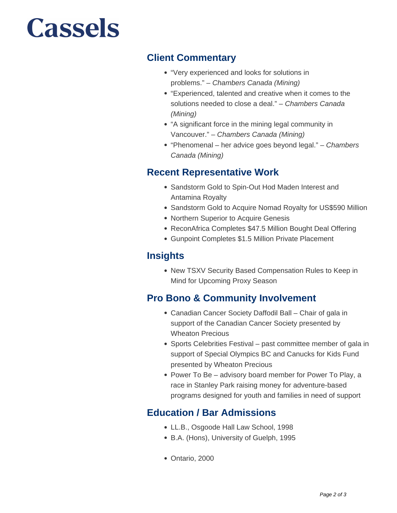# **Cassels**

#### **Client Commentary**

- "Very experienced and looks for solutions in problems." – Chambers Canada (Mining)
- "Experienced, talented and creative when it comes to the solutions needed to close a deal." - Chambers Canada (Mining)
- "A significant force in the mining legal community in Vancouver." – Chambers Canada (Mining)
- "Phenomenal her advice goes beyond legal." Chambers Canada (Mining)

#### **Recent Representative Work**

- Sandstorm Gold to Spin-Out Hod Maden Interest and Antamina Royalty
- Sandstorm Gold to Acquire Nomad Royalty for US\$590 Million
- Northern Superior to Acquire Genesis
- ReconAfrica Completes \$47.5 Million Bought Deal Offering
- Gunpoint Completes \$1.5 Million Private Placement

#### **Insights**

New TSXV Security Based Compensation Rules to Keep in Mind for Upcoming Proxy Season

#### **Pro Bono & Community Involvement**

- Canadian Cancer Society Daffodil Ball Chair of gala in support of the Canadian Cancer Society presented by Wheaton Precious
- Sports Celebrities Festival past committee member of gala in support of Special Olympics BC and Canucks for Kids Fund presented by Wheaton Precious
- Power To Be advisory board member for Power To Play, a race in Stanley Park raising money for adventure-based programs designed for youth and families in need of support

### **Education / Bar Admissions**

- LL.B., Osgoode Hall Law School, 1998
- B.A. (Hons), University of Guelph, 1995
- Ontario, 2000